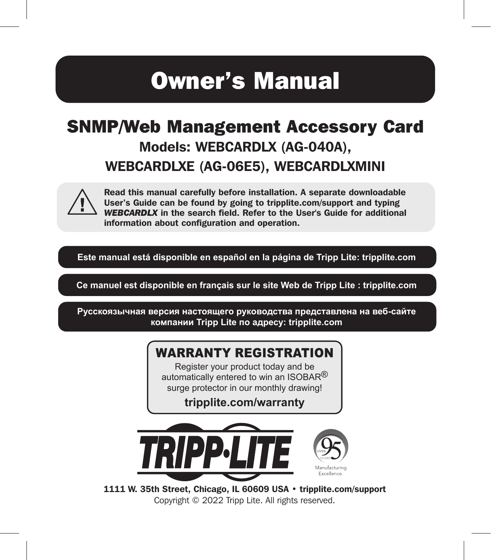# Owner's Manual

# SNMP/Web Management Accessory Card Models: WEBCARDLX (AG-040A), WEBCARDLXE (AG-06E5), WEBCARDLXMINI



Read this manual carefully before installation. A separate downloadable User's Guide can be found by going to tripplite.com/support and typing *WEBCARDLX* in the search field. Refer to the User's Guide for additional information about configuration and operation.

**Este manual está disponible en español en la página de Tripp Lite: tripplite.com**

**Ce manuel est disponible en français sur le site Web de Tripp Lite : tripplite.com**

**Русскоязычная версия настоящего руководства представлена на веб-сайте компании Tripp Lite по адресу: tripplite.com**

#### WARRANTY REGISTRATION

Register your product today and be automatically entered to win an ISOBAR<sup>®</sup> surge protector in our monthly drawing!

**tripplite.com/warranty**



1111 W. 35th Street, Chicago, IL 60609 USA • tripplite.com/support Copyright © 2022 Tripp Lite. All rights reserved.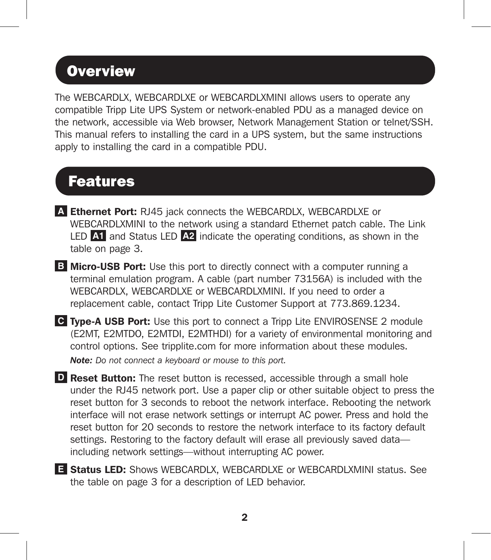#### **Overview**

The WEBCARDLX, WEBCARDLXE or WEBCARDLXMINI allows users to operate any compatible Tripp Lite UPS System or network-enabled PDU as a managed device on the network, accessible via Web browser, Network Management Station or telnet/SSH. This manual refers to installing the card in a UPS system, but the same instructions apply to installing the card in a compatible PDU.

### Features

- **A** Ethernet Port: RJ45 jack connects the WEBCARDLX, WEBCARDLXE or WEBCARDLXMINI to the network using a standard Ethernet patch cable. The Link LED **A1** and Status LED **A2** indicate the operating conditions, as shown in the table on page 3.
- **B** Micro-USB Port: Use this port to directly connect with a computer running a terminal emulation program. A cable (part number 73156A) is included with the WEBCARDLX, WEBCARDLXE or WEBCARDLXMINI. If you need to order a replacement cable, contact Tripp Lite Customer Support at 773.869.1234.
- **C** Type-A USB Port: Use this port to connect a Tripp Lite ENVIROSENSE 2 module (E2MT, E2MTDO, E2MTDI, E2MTHDI) for a variety of environmental monitoring and control options. See tripplite.com for more information about these modules. *Note: Do not connect a keyboard or mouse to this port.*
- **D** Reset Button: The reset button is recessed, accessible through a small hole under the RJ45 network port. Use a paper clip or other suitable object to press the reset button for 3 seconds to reboot the network interface. Rebooting the network interface will not erase network settings or interrupt AC power. Press and hold the reset button for 20 seconds to restore the network interface to its factory default settings. Restoring to the factory default will erase all previously saved data including network settings—without interrupting AC power.
- **E** Status LED: Shows WEBCARDLX, WEBCARDLXE or WEBCARDLXMINI status. See the table on page 3 for a description of LED behavior.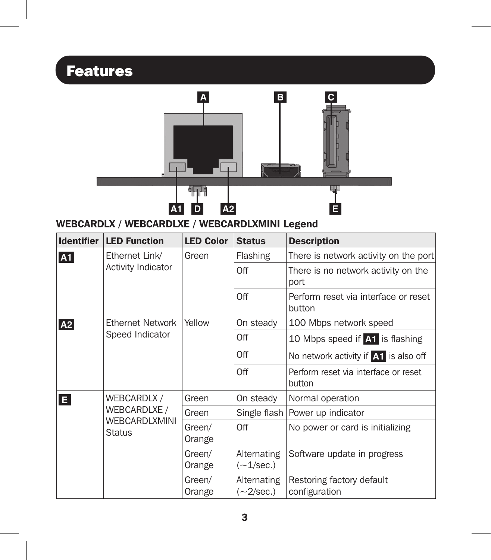# Features



WEBCARDLX / WEBCARDLXE / WEBCARDLXMINI Legend

| <b>Identifier</b> | <b>LED Function</b>                                                  | <b>LED Color</b> | <b>Status</b>                        | <b>Description</b>                             |
|-------------------|----------------------------------------------------------------------|------------------|--------------------------------------|------------------------------------------------|
| A1                | Ethernet Link/<br><b>Activity Indicator</b>                          | Green            | Flashing                             | There is network activity on the port          |
|                   |                                                                      |                  | Off                                  | There is no network activity on the<br>port    |
|                   |                                                                      |                  | Off                                  | Perform reset via interface or reset<br>button |
| A2                | <b>Ethernet Network</b><br>Speed Indicator                           | Yellow           | On steady                            | 100 Mbps network speed                         |
|                   |                                                                      |                  | Off                                  | 10 Mbps speed if A1 is flashing                |
|                   |                                                                      |                  | Off                                  | No network activity if A1 is also off          |
|                   |                                                                      |                  | Off                                  | Perform reset via interface or reset<br>button |
| E                 | WEBCARDLX /<br>WEBCARDLXE /<br><b>WEBCARDLXMINI</b><br><b>Status</b> | Green            | On steady                            | Normal operation                               |
|                   |                                                                      | Green            |                                      | Single flash   Power up indicator              |
|                   |                                                                      | Green/<br>Orange | Off                                  | No power or card is initializing               |
|                   |                                                                      | Green/<br>Orange | Alternating<br>$(-1/\sec.)$          | Software update in progress                    |
|                   |                                                                      | Green/<br>Orange | Alternating<br>$(\sim2/\text{sec.})$ | Restoring factory default<br>configuration     |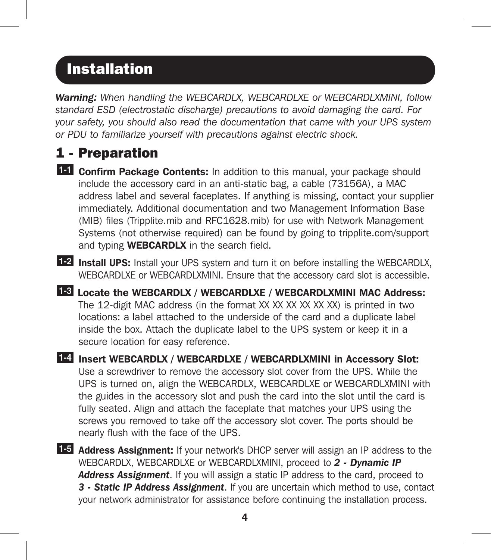*Warning: When handling the WEBCARDLX, WEBCARDLXE or WEBCARDLXMINI, follow standard ESD (electrostatic discharge) precautions to avoid damaging the card. For your safety, you should also read the documentation that came with your UPS system or PDU to familiarize yourself with precautions against electric shock.*

#### 1 - Preparation

- **14** Confirm Package Contents: In addition to this manual, your package should include the accessory card in an anti-static bag, a cable (73156A), a MAC address label and several faceplates. If anything is missing, contact your supplier immediately. Additional documentation and two Management Information Base (MIB) files (Tripplite.mib and RFC1628.mib) for use with Network Management Systems (not otherwise required) can be found by going to tripplite.com/support and typing **WEBCARDLX** in the search field.
- **1-2** Install UPS: Install your UPS system and turn it on before installing the WEBCARDLX, WEBCARDLXE or WEBCARDLXMINI. Ensure that the accessory card slot is accessible.
- **1-3** Locate the WEBCARDLX / WEBCARDLXE / WEBCARDLXMINI MAC Address: The 12-digit MAC address (in the format XX XX XX XX XX XX) is printed in two locations: a label attached to the underside of the card and a duplicate label inside the box. Attach the duplicate label to the UPS system or keep it in a secure location for easy reference.
- **1-4** Insert WEBCARDLX / WEBCARDLXE / WEBCARDLXMINI in Accessory Slot: Use a screwdriver to remove the accessory slot cover from the UPS. While the UPS is turned on, align the WEBCARDLX, WEBCARDLXE or WEBCARDLXMINI with the guides in the accessory slot and push the card into the slot until the card is fully seated. Align and attach the faceplate that matches your UPS using the screws you removed to take off the accessory slot cover. The ports should be nearly flush with the face of the UPS.
- 1-5 **Address Assignment:** If your network's DHCP server will assign an IP address to the WEBCARDLX, WEBCARDLXE or WEBCARDLXMINI, proceed to *2 - Dynamic IP Address Assignment*. If you will assign a static IP address to the card, proceed to *3 - Static IP Address Assignment*. If you are uncertain which method to use, contact your network administrator for assistance before continuing the installation process.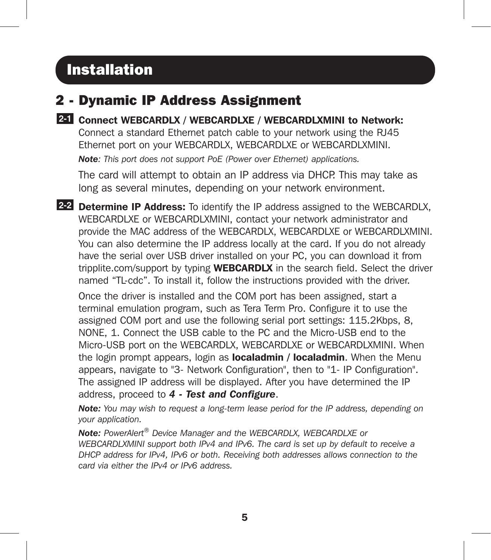#### 2 - Dynamic IP Address Assignment

**2-1** Connect WEBCARDLX / WEBCARDLXE / WEBCARDLXMINI to Network: Connect a standard Ethernet patch cable to your network using the RJ45 Ethernet port on your WEBCARDLX, WEBCARDLXE or WEBCARDLXMINI. *Note: This port does not support PoE (Power over Ethernet) applications.* 

The card will attempt to obtain an IP address via DHCP. This may take as long as several minutes, depending on your network environment.

**2-2** Determine IP Address: To identify the IP address assigned to the WEBCARDLX, WEBCARDLXE or WEBCARDLXMINI, contact your network administrator and provide the MAC address of the WEBCARDLX, WEBCARDLXE or WEBCARDLXMINI. You can also determine the IP address locally at the card. If you do not already have the serial over USB driver installed on your PC, you can download it from tripplite.com/support by typing **WEBCARDLX** in the search field. Select the driver named "TL-cdc". To install it, follow the instructions provided with the driver.

Once the driver is installed and the COM port has been assigned, start a terminal emulation program, such as Tera Term Pro. Configure it to use the assigned COM port and use the following serial port settings: 115.2Kbps, 8, NONE, 1. Connect the USB cable to the PC and the Micro-USB end to the Micro-USB port on the WEBCARDLX, WEBCARDLXE or WEBCARDLXMINI. When the login prompt appears, login as **localadmin / localadmin**. When the Menu appears, navigate to "3- Network Configuration", then to "1- IP Configuration". The assigned IP address will be displayed. After you have determined the IP address, proceed to *4 - Test and Configure*.

*Note: You may wish to request a long-term lease period for the IP address, depending on your application.*

*Note: PowerAlert® Device Manager and the WEBCARDLX, WEBCARDLXE or WEBCARDLXMINI support both IPv4 and IPv6. The card is set up by default to receive a DHCP address for IPv4, IPv6 or both. Receiving both addresses allows connection to the card via either the IPv4 or IPv6 address.*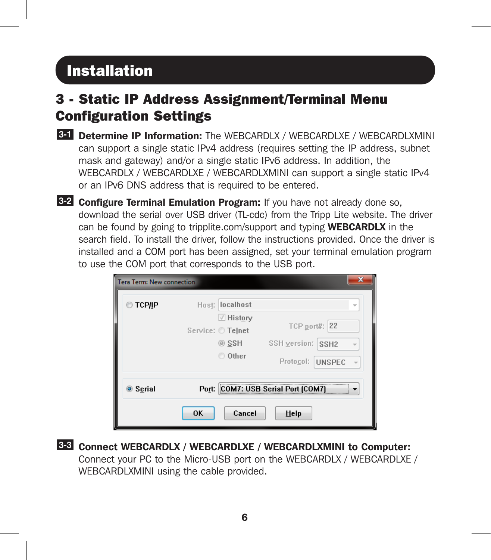### 3 - Static IP Address Assignment/Terminal Menu Configuration Settings

- 8-1 Determine IP Information: The WEBCARDLX / WEBCARDLXE / WEBCARDLXMINI can support a single static IPv4 address (requires setting the IP address, subnet mask and gateway) and/or a single static IPv6 address. In addition, the WEBCARDLX / WEBCARDLXE / WEBCARDLXMINI can support a single static IPv4 or an IPv6 DNS address that is required to be entered.
- **322 Configure Terminal Emulation Program:** If you have not already done so, download the serial over USB driver (TL-cdc) from the Tripp Lite website. The driver can be found by going to tripplite.com/support and typing **WEBCARDLX** in the search field. To install the driver, follow the instructions provided. Once the driver is installed and a COM port has been assigned, set your terminal emulation program to use the COM port that corresponds to the USB port.

| Tera Term: New connection |                                                                          |                                                                                               |
|---------------------------|--------------------------------------------------------------------------|-----------------------------------------------------------------------------------------------|
| <b>TCP/IP</b>             | localhost<br>Host:<br>√ History<br>Service: O Telnet<br>◎ SSH<br>O Other | v<br><b>TCP port#: 22</b><br>SSH version: SSH2<br>$\overline{\mathbf{v}}$<br>Protocol: UNSPEC |
| ◎ Serial                  | Cancel<br>0K                                                             | Port: COM7: USB Serial Port (COM7)<br>Help                                                    |

**3-3** Connect WEBCARDLX / WEBCARDLXE / WEBCARDLXMINI to Computer: Connect your PC to the Micro-USB port on the WEBCARDLX / WEBCARDLXE / WEBCARDLXMINI using the cable provided.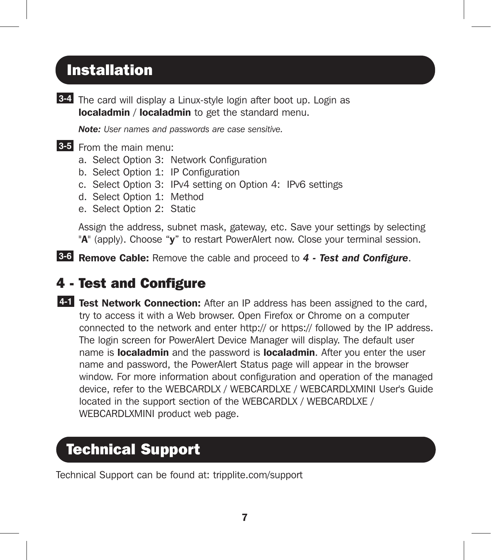**3-4** The card will display a Linux-style login after boot up. Login as **localadmin / localadmin** to get the standard menu.

*Note: User names and passwords are case sensitive.*

#### **3-5** From the main menu:

- a. Select Option 3: Network Configuration
- b. Select Option 1: IP Configuration
- c. Select Option 3: IPv4 setting on Option 4: IPv6 settings
- d. Select Option 1: Method
- e. Select Option 2: Static

Assign the address, subnet mask, gateway, etc. Save your settings by selecting "A" (apply). Choose "y" to restart PowerAlert now. Close your terminal session.

**3-6** Remove Cable: Remove the cable and proceed to *4 - Test and Configure*.

#### 4 - Test and Configure

**4-1** Test Network Connection: After an IP address has been assigned to the card, try to access it with a Web browser. Open Firefox or Chrome on a computer connected to the network and enter http:// or https:// followed by the IP address. The login screen for PowerAlert Device Manager will display. The default user name is **localadmin** and the password is **localadmin**. After you enter the user name and password, the PowerAlert Status page will appear in the browser window. For more information about configuration and operation of the managed device, refer to the WEBCARDLX / WEBCARDLXE / WEBCARDLXMINI User's Guide located in the support section of the WEBCARDLX / WEBCARDLXE / WEBCARDLXMINI product web page.

# Technical Support

Technical Support can be found at: tripplite.com/support